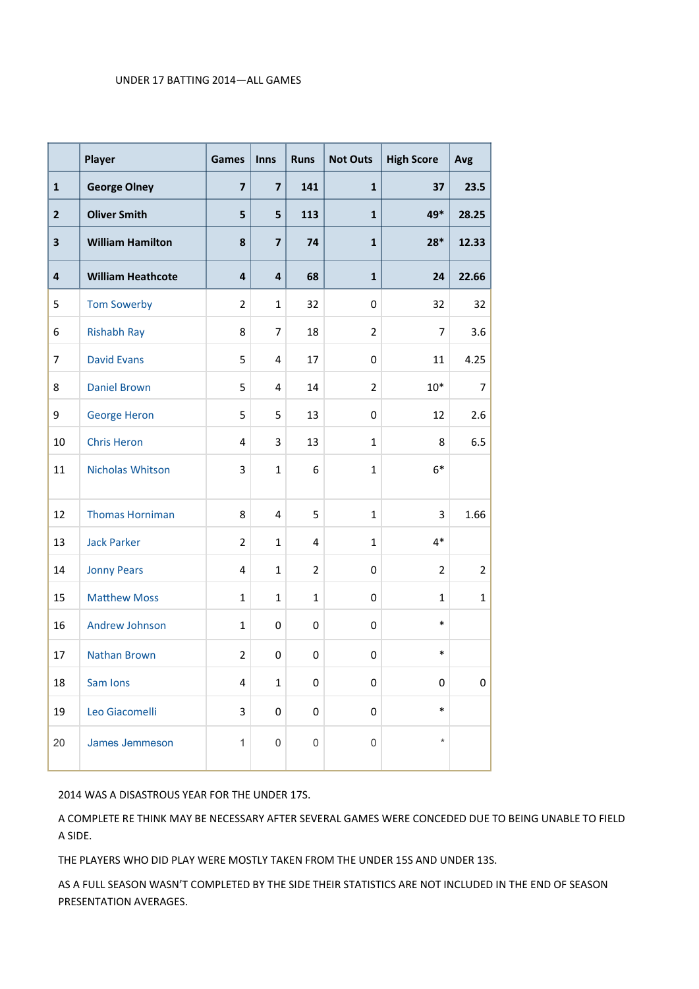## UNDER 17 BATTING 2014—ALL GAMES

|                | Player                   | Games          | <b>Inns</b>             | <b>Runs</b>    | <b>Not Outs</b> | <b>High Score</b> | Avg            |
|----------------|--------------------------|----------------|-------------------------|----------------|-----------------|-------------------|----------------|
| $\mathbf{1}$   | <b>George Olney</b>      | $\overline{7}$ | $\overline{7}$          | 141            | $\mathbf{1}$    | 37                | 23.5           |
| $\overline{2}$ | <b>Oliver Smith</b>      | 5              | 5                       | 113            | $\mathbf{1}$    | 49*               | 28.25          |
| 3              | <b>William Hamilton</b>  | 8              | $\overline{\mathbf{z}}$ | 74             | $\mathbf{1}$    | $28*$             | 12.33          |
| $\overline{4}$ | <b>William Heathcote</b> | $\overline{a}$ | 4                       | 68             | $\mathbf{1}$    | 24                | 22.66          |
| 5              | <b>Tom Sowerby</b>       | $\overline{2}$ | $\mathbf{1}$            | 32             | 0               | 32                | 32             |
| 6              | <b>Rishabh Ray</b>       | 8              | $\overline{7}$          | 18             | $\overline{2}$  | $\overline{7}$    | 3.6            |
| $\overline{7}$ | <b>David Evans</b>       | 5              | 4                       | 17             | $\mathbf 0$     | 11                | 4.25           |
| 8              | <b>Daniel Brown</b>      | 5              | $\overline{4}$          | 14             | $\overline{2}$  | $10*$             | 7              |
| 9              | <b>George Heron</b>      | 5              | 5                       | 13             | $\mathbf 0$     | 12                | 2.6            |
| 10             | <b>Chris Heron</b>       | 4              | 3                       | 13             | $\mathbf{1}$    | 8                 | 6.5            |
| 11             | Nicholas Whitson         | 3              | $\mathbf{1}$            | 6              | $\mathbf{1}$    | $6*$              |                |
| 12             | <b>Thomas Horniman</b>   | 8              | $\overline{4}$          | 5              | 1               | 3                 | 1.66           |
| 13             | <b>Jack Parker</b>       | $\overline{2}$ | $\mathbf{1}$            | 4              | $\mathbf{1}$    | $4*$              |                |
| 14             | <b>Jonny Pears</b>       | 4              | $\mathbf{1}$            | $\overline{2}$ | $\mathbf 0$     | $\overline{2}$    | $\overline{2}$ |
| 15             | <b>Matthew Moss</b>      | $\mathbf{1}$   | $\mathbf{1}$            | $\mathbf{1}$   | $\mathbf 0$     | 1                 | $\mathbf{1}$   |
| 16             | Andrew Johnson           | $\mathbf{1}$   | $\mathbf 0$             | 0              | $\mathbf 0$     | $\ast$            |                |
| 17             | <b>Nathan Brown</b>      | $\overline{2}$ | $\mathbf 0$             | 0              | $\mathbf 0$     | $\ast$            |                |
| 18             | Sam Ions                 | 4              | $\mathbf{1}$            | 0              | 0               | 0                 | 0              |
| 19             | Leo Giacomelli           | 3              | 0                       | 0              | 0               | *                 |                |
| 20             | James Jemmeson           | $\mathbf{1}$   | 0                       | 0              | $\mathsf 0$     | $\star$           |                |

2014 WAS A DISASTROUS YEAR FOR THE UNDER 17S.

A COMPLETE RE THINK MAY BE NECESSARY AFTER SEVERAL GAMES WERE CONCEDED DUE TO BEING UNABLE TO FIELD A SIDE.

THE PLAYERS WHO DID PLAY WERE MOSTLY TAKEN FROM THE UNDER 15S AND UNDER 13S.

AS A FULL SEASON WASN'T COMPLETED BY THE SIDE THEIR STATISTICS ARE NOT INCLUDED IN THE END OF SEASON PRESENTATION AVERAGES.